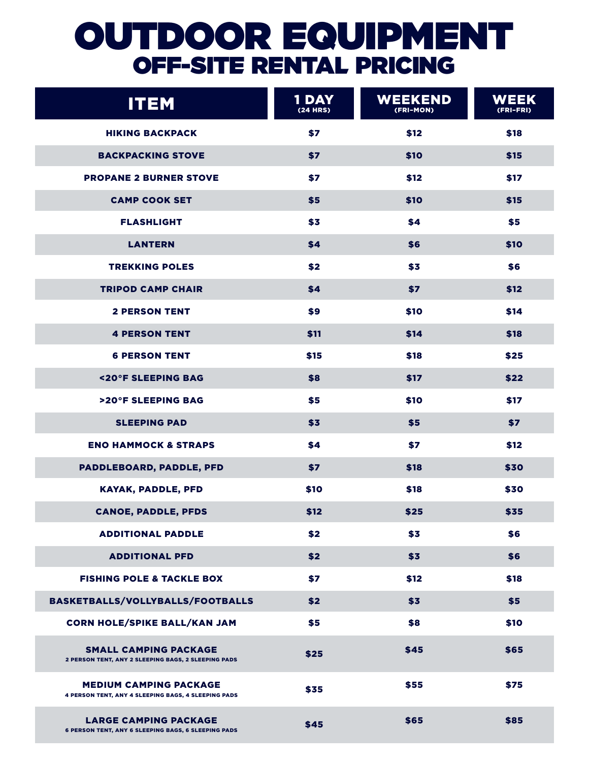# OUTDOOR EQUIPMENT OFF-SiTE RENTAL PRICING

| <b>ITEM</b>                                                                                | 1 DAY<br><b>(24 HRS)</b> | <b>WEEKEND</b><br>(FRI-MON) | WEEK<br>(FRI-FRI) |
|--------------------------------------------------------------------------------------------|--------------------------|-----------------------------|-------------------|
| <b>HIKING BACKPACK</b>                                                                     | \$7                      | \$12                        | \$18              |
| <b>BACKPACKING STOVE</b>                                                                   | \$7                      | \$10                        | \$15              |
| <b>PROPANE 2 BURNER STOVE</b>                                                              | \$7                      | \$12                        | \$17              |
| <b>CAMP COOK SET</b>                                                                       | \$5                      | \$10                        | \$15              |
| <b>FLASHLIGHT</b>                                                                          | \$3                      | \$4                         | \$5               |
| <b>LANTERN</b>                                                                             | \$4                      | \$6                         | \$10              |
| <b>TREKKING POLES</b>                                                                      | \$2                      | \$3                         | \$6               |
| <b>TRIPOD CAMP CHAIR</b>                                                                   | \$4                      | \$7                         | \$12              |
| <b>2 PERSON TENT</b>                                                                       | \$9                      | \$10                        | \$14              |
| <b>4 PERSON TENT</b>                                                                       | \$11                     | \$14                        | \$18              |
| <b>6 PERSON TENT</b>                                                                       | \$15                     | \$18                        | \$25              |
| <20°F SLEEPING BAG                                                                         | \$8                      | \$17                        | \$22              |
| >20°F SLEEPING BAG                                                                         | \$5                      | \$10                        | \$17              |
| <b>SLEEPING PAD</b>                                                                        | \$3                      | \$5                         | \$7               |
| <b>ENO HAMMOCK &amp; STRAPS</b>                                                            | \$4                      | \$7                         | \$12              |
| PADDLEBOARD, PADDLE, PFD                                                                   | \$7                      | \$18                        | \$30              |
| <b>KAYAK, PADDLE, PFD</b>                                                                  | \$10                     | \$18                        | \$30              |
| <b>CANOE, PADDLE, PFDS</b>                                                                 | \$12                     | \$25                        | \$35              |
| <b>ADDITIONAL PADDLE</b>                                                                   | \$2                      | \$3                         | \$6               |
| <b>ADDITIONAL PFD</b>                                                                      | \$2                      | \$3                         | \$6               |
| <b>FISHING POLE &amp; TACKLE BOX</b>                                                       | \$7                      | \$12                        | \$18              |
| BASKETBALLS/VOLLYBALLS/FOOTBALLS                                                           | \$2                      | \$3                         | \$5               |
| <b>CORN HOLE/SPIKE BALL/KAN JAM</b>                                                        | \$5                      | \$8                         | \$10              |
| <b>SMALL CAMPING PACKAGE</b><br>2 PERSON TENT, ANY 2 SLEEPING BAGS, 2 SLEEPING PADS        | \$25                     | \$45                        | \$65              |
| <b>MEDIUM CAMPING PACKAGE</b><br>4 PERSON TENT, ANY 4 SLEEPING BAGS, 4 SLEEPING PADS       | \$35                     | \$55                        | \$75              |
| <b>LARGE CAMPING PACKAGE</b><br><b>6 PERSON TENT, ANY 6 SLEEPING BAGS, 6 SLEEPING PADS</b> | \$45                     | \$65                        | \$85              |